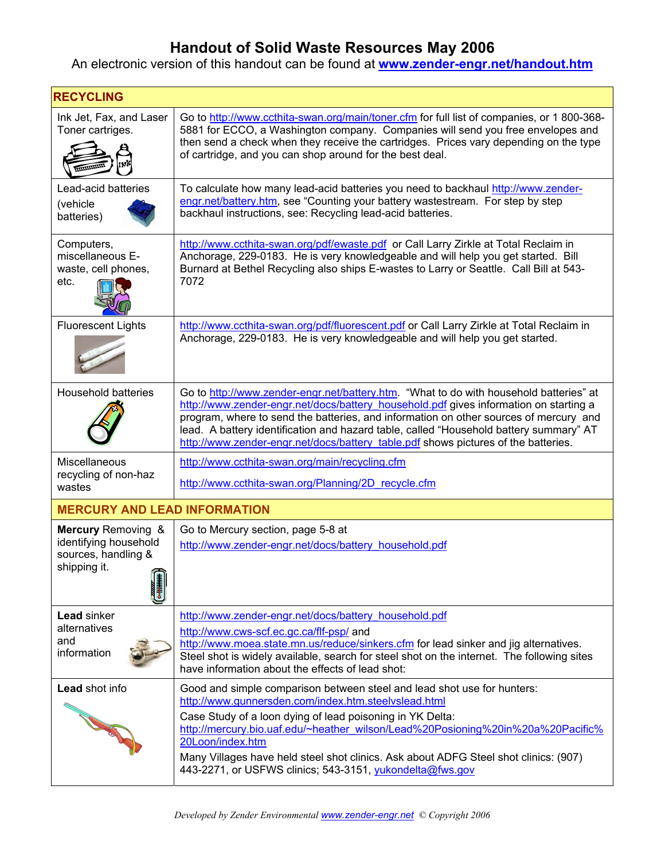## **Handout of Solid Waste Resources May 2006**

## An electronic version of this handout can be found at **www.zender-engr.net/handout.htm**

| <b>RECYCLING</b>                                                                              |                                                                                                                                                                                                                                                                                                                                                                                                                                                          |  |
|-----------------------------------------------------------------------------------------------|----------------------------------------------------------------------------------------------------------------------------------------------------------------------------------------------------------------------------------------------------------------------------------------------------------------------------------------------------------------------------------------------------------------------------------------------------------|--|
| Ink Jet, Fax, and Laser<br>Toner cartriges.                                                   | Go to http://www.ccthita-swan.org/main/toner.cfm for full list of companies, or 1800-368-<br>5881 for ECCO, a Washington company. Companies will send you free envelopes and<br>then send a check when they receive the cartridges. Prices vary depending on the type<br>of cartridge, and you can shop around for the best deal.                                                                                                                        |  |
| Lead-acid batteries<br>(vehicle<br>batteries)                                                 | To calculate how many lead-acid batteries you need to backhaul http://www.zender-<br>engr.net/battery.htm, see "Counting your battery wastestream. For step by step<br>backhaul instructions, see: Recycling lead-acid batteries.                                                                                                                                                                                                                        |  |
| Computers,<br>miscellaneous E-<br>waste, cell phones,<br>etc.                                 | http://www.ccthita-swan.org/pdf/ewaste.pdf or Call Larry Zirkle at Total Reclaim in<br>Anchorage, 229-0183. He is very knowledgeable and will help you get started. Bill<br>Burnard at Bethel Recycling also ships E-wastes to Larry or Seattle. Call Bill at 543-<br>7072                                                                                                                                                                               |  |
| <b>Fluorescent Lights</b>                                                                     | http://www.ccthita-swan.org/pdf/fluorescent.pdf or Call Larry Zirkle at Total Reclaim in<br>Anchorage, 229-0183. He is very knowledgeable and will help you get started.                                                                                                                                                                                                                                                                                 |  |
| Household batteries                                                                           | Go to http://www.zender-engr.net/battery.htm. "What to do with household batteries" at<br>http://www.zender-engr.net/docs/battery_household.pdf gives information on starting a<br>program, where to send the batteries, and information on other sources of mercury and<br>lead. A battery identification and hazard table, called "Household battery summary" AT<br>http://www.zender-engr.net/docs/battery table.pdf shows pictures of the batteries. |  |
| Miscellaneous<br>recycling of non-haz<br>wastes                                               | http://www.ccthita-swan.org/main/recycling.cfm<br>http://www.ccthita-swan.org/Planning/2D recycle.cfm                                                                                                                                                                                                                                                                                                                                                    |  |
| <b>MERCURY AND LEAD INFORMATION</b>                                                           |                                                                                                                                                                                                                                                                                                                                                                                                                                                          |  |
| <b>Mercury Removing &amp;</b><br>identifying household<br>sources, handling &<br>shipping it. | Go to Mercury section, page 5-8 at<br>http://www.zender-engr.net/docs/battery_household.pdf                                                                                                                                                                                                                                                                                                                                                              |  |
| <b>Lead sinker</b><br>alternatives<br>and<br>information                                      | http://www.zender-engr.net/docs/battery household.pdf<br>http://www.cws-scf.ec.gc.ca/flf-psp/ and<br>http://www.moea.state.mn.us/reduce/sinkers.cfm for lead sinker and jig alternatives.<br>Steel shot is widely available, search for steel shot on the internet. The following sites<br>have information about the effects of lead shot:                                                                                                              |  |
| Lead shot info                                                                                | Good and simple comparison between steel and lead shot use for hunters:<br>http://www.gunnersden.com/index.htm.steelvslead.html<br>Case Study of a loon dying of lead poisoning in YK Delta:<br>http://mercury.bio.uaf.edu/~heather_wilson/Lead%20Posioning%20in%20a%20Pacific%<br>20Loon/index.htm<br>Many Villages have held steel shot clinics. Ask about ADFG Steel shot clinics: (907)<br>443-2271, or USFWS clinics; 543-3151, yukondelta@fws.gov  |  |